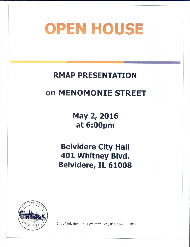# **OPEN HOUSE**

# RMAP PRESENTATION

# on MENOMONIE STREET

May 2, 2016 at 6: 00pm

Belvidere City Hall 401 Whitney Blvd. Belvidere, IL 61008



City of Belvidere— 401 Whitney Blvd., Belvidere, IL 61008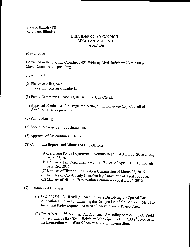State of Illinois) SS Belvidere, Illinois)

# BELVIDERE CITY COUNCIL REGULAR MEETING AGENDA

May 2, 2016

Convened in the Council Chambers, 401 Whitney Blvd, Belvidere IL at 7:00 p.m. Mayor Chamberlain presiding.

1) Roll Call:

- (2) Pledge of Allegiance: Invocation: Mayor Chamberlain.
- 3) Public Comment: (Please register with the City Clerk):
- 4) Approval of minutes of the regular meeting of the Belvidere City Council of April 18, 2016; as presented.
- 5) Public Hearing:
- 6) Special Messages and Proclamations:
- 7) Approval ofExpenditures: None.
- 8) Committee Reports and Minutes of City Officers:
	- A)Belvidere Police Department Overtime Report of April 12, 2016 through April 25, 2016.
	- (B) Belvidere Fire Department Overtime Report of April 13, 2016 through April 26, 2016.
	- C) Minutes of Historic Preservation Commission of March 22, 2016.
	- (D) Minutes of City-County Coordinating Committee of April 13, 2016.
	- (E) Minutes of Historic Preservation Commission of April 26, 2016.
- 9) Unfinished Business:
	- A) Ord.  $\#293H 2^{nd}$  Reading: An Ordinance Dissolving the Special Tax Allocation Fund and Terminating the Designation of the Belvidere Mall Tax Increment Redevelopment Area as a Redevelopment Project Area.
	- B) Ord.  $#297H 2<sup>nd</sup>$  Reading: An Ordinance Amending Section 110-92 Yield Intersections of the City of Belvidere Municipal Code to Add 8<sup>th</sup> Avenue at the Intersection with West 5<sup>th</sup> Street as a Yield Intersection.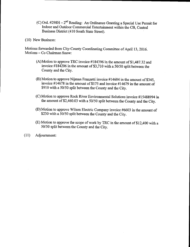- C) Ord. #298H 2<sup>nd</sup> Reading: An Ordinance Granting a Special Use Permit for Indoor and Outdoor Commercial Entertainment within the CB, Central Business District (410 South State Street).
- 10) New Business:

Motions forwarded from City-County Coordinating Committee of April 13, 2016. Motions— Co Chairman Snow:

- (A)Motion to approve TRC invoice  $\#184396$  in the amount of \$1,487.32 and invoice  $\#184206$  in the amount of \$3,710 with a 50/50 split between the County and the City.
- $(B)$  Motion to approve Nijman Franzetti invoice #14604 in the amount of \$345, invoice  $\#14678$  in the amount of \$175 and invoice  $\#14679$  in the amount of \$910 with a 50/50 split between the County and the City.
- (C) Motion to approve Rock River Environmental Solutions invoice #15488994 in the amount of \$2,460.03 with a 50/50 split between the County and the City.
- D) Motion to approve Wilson Electric Company invoice #6603 in the amount of \$230 with a 50/50 split between the County and the City.
- (E) Motion to approve the scope of work by TRC in the amount of \$12,400 with a 50/50 split between the County and the City.
- 11) Adjournment: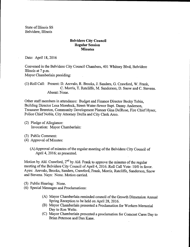State of Illinois SS Belvidere, Illinois

# Belvidere City Council Regular Session **Minutes**

Date: April 18, 2016

Convened in the Belvidere City Council Chambers, 401 Whitney Blvd, Belvidere Illinois at 7 p.m. Mayor Chamberlain presiding:

# 1) Roll Call: Present: D. Arevalo, R. Brooks, J. Sanders, G. Crawford, W. Frank, C. Morris, T. Ratcliffe, M. Sanderson, D. Snow and C. Stevens. Absent: None.

Other staff members in attendance: Budget and Finance Director Becky Tobin, Building Director Lesa Morelock, Street-Water-Sewer Supt. Danny Anderson, Treasurer Brereton, Community Development Planner Gina DelRose, Fire Chief Hyser, Police Chief Noble, City Attorney Drella and City Clerk Arco.

- (2) Pledge of Allegiance: Invocation: Mayor Chamberlain:
- 3) Public Comment:
- 4) Approval of Minutes:
	- (A) Approval of minutes of the regular meeting of the Belvidere City Council of April 4, 2016; as presented.

Motion by Ald. Crawford,  $2^{nd}$  by Ald. Frank to approve the minutes of the regular meeting of the Belvidere City Council of April 4, 2016. Roll Call Vote: 10/0 in favor. Ayes: Arevalo, Brooks, Sanders, Crawford, Frank, Morris, Ratcliffe, Sanderson, Snow and Stevens. Nays: None. Motion carried.

- 5) Public Hearing: None.
- 6) Special Messages and Proclamations:
	- A) Mayor Chamberlain reminded council of the Growth Dimension Annual Spring Reception to be held on April 28, 2016.
	- B) Mayor Chamberlain presented a Proclamation for Workers Memorial Day to Ron Welte.
	- C) Mayor Chamberlain presented a proclamation for Comcast Cares Day to Brian Peterson and Dan Kane.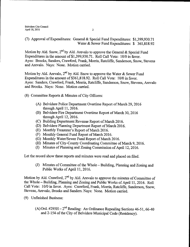# (7) Approval of Expenditures: General & Special Fund Expenditures: \$1,399,930.71 Water & Sewer Fund Expenditures: \$ 361,818.92

Motion by Ald. Snow,  $2^{nd}$  by Ald. Arevalo to approve the General & Special Fund Expenditures in the amount of \$1,399,930.71. Roll Call Vote: 10/0 in favor. Ayes: Brooks, Sanders, Crawford, Frank, Morris, Ratcliffe, Sanderson, Snow, Stevens and Arevalo. Nays: None. Motion carried.

Motion by Ald. Arevalo,  $2^{nd}$  by Ald. Snow to approve the Water & Sewer Fund Expenditures in the amount of \$361, 818.92. Roll Call Vote: 10/0 in favor. Ayes: Sanders, Crawford, Frank, Morris, Ratcliffe, Sanderson, Snow, Stevens, Arevalo and Brooks. Nays: None. Motion carried.

- 8) Committee Reports & Minutes of City Officers:
	- A) Belvidere Police Department Overtime Report of March 29, 2016 through April 11, 2016.
	- B) Belvidere Fire Department Overtime Report of March 30, 2016 through April 12, 2016.
	- C) Building Department Revenue Report of March 2016.
	- D) Belvidere Planning Department Report of March 2016.
	- (E) Monthly Treasurer's Report of March 2016.
	- F) Monthly General Fund Report of March 2016.
	- G) Monthly Water/Sewer Fund Report of March 2016.
	- H) Minutes of City-County Coordinating Committee of March 9, 2016.
	- (I) Minutes of Planning and Zoning Commission of April 12, 2016.

Let the record show these reports and minutes were read and placed on filed.

(J) Minutes of Committee of the Whole – Building, Planning and Zoning and Public Works of April 11, 2016.

Motion by Ald. Crawford,  $2<sup>nd</sup>$  by Ald. Arevalo to approve the minutes of Committee of the Whole—Building, Planning and Zoning and Public Works of April 11, 2016. Roll Call Vote: 10/0 in favor. Ayes: Crawford, Frank, Morris, Ratcliffe, Sanderson, Snow, Stevens, Arevalo, Brooks and Sanders. Nays: None. Motion carried.

- 9) Unfinished Business:
	- (A) Ord. #295H  $-2<sup>nd</sup>$  Reading: An Ordinance Repealing Sections 46-51, 66-40 and 2-154 of the City of Belvidere Municipal Code (Residency).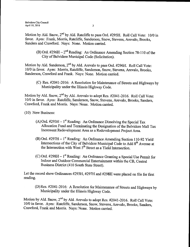Motion by Ald. Snow,  $2^{nd}$  by Ald. Ratcliffe to pass Ord. #295H. Roll Call Vote: 10/0 in favor. Ayes: Frank, Morris, Ratcliffe, Sanderson, Snow, Stevens, Arevalo, Brooks, Sanders and Crawford. Nays: None. Motion carried.

B) Ord.  $\#296H - 2^{nd}$  Reading: An Ordinance Amending Section 78-110 of the City of Belvidere Municipal Code (Solicitation).

Motion by Ald. Sanderson, 2<sup>nd</sup> by Ald. Arevalo to pass Ord. #296H. Roll Call Vote: 10/0 in favor. Ayes: Morris, Ratcliffe, Sanderson, Snow, Stevens, Arevalo, Brooks, Sanderson, Crawford and Frank. Nays: None. Motion carried.

(C) Res. #2041-2016: A Resolution for Maintenance of Streets and Highways by Municipality under the Illinois Highway Code.

Motion by Ald. Snow, 2<sup>nd</sup> by Ald. Arevalo to adopt Res. #2041-2016. Roll Call Vote: 10/0 in favor. Ayes: Ratcliffe, Sanderson, Snow, Stevens, Arevalo, Brooks, Sanders, Crawford, Frank and Morris. Nays: None. Motion carried.

10) New Business:

- A) Ord.  $#293H 1$ <sup>st</sup> Reading: An Ordinance Dissolving the Special Tax Allocation Fund and Terminating the Designation of the Belvidere Mall Tax Increment Redevelopment Area as a Redevelopment Project Area.
- B) Ord. #297H 1<sup>st</sup> Reading: An Ordinance Amending Section 110-92 Yield Intersections of the City of Belvidere Municipal Code to Add 8<sup>th</sup> Avenue at the Intersection with West  $5<sup>th</sup>$  Street as a Yield Intersection.
- C) Ord. #298H 1<sup>st</sup> Reading: An Ordinance Granting a Special Use Permit for Indoor and Outdoor Commercial Entertainment within the CB, Central Business District( 410 South State Street).

Let the record show Ordinances #293H, #297H and #298H were placed on file for first reading.

(D) Res. #2041-2016: A Resolution for Maintenance of Streets and Highways by Municipality under the Illinois Highway Code.

Motion by Ald. Snow, 2<sup>nd</sup> by Ald. Arevalo to adopt Res. #2041-2016. Roll Call Vote: 10/0 in favor. Ayes: Ratcliffe, Sanderson, Snow, Stevens, Arevalo, Brooks, Sanders, Crawford, Frank and Morris. Nays: None. Motion carried.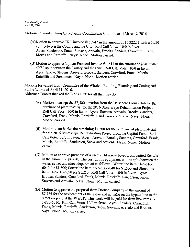Motions forwarded from City-County Coordinating Committee of March 9, 2016.

- (A)Motion to approve TRC invoice  $\#180947$  in the amount of \$6,322.11 with a 50/50 split between the County and the City. Roll Call Vote: 10/0 in favor. Ayes: Sanderson, Snow, Stevens, Arevalo, Brooks, Sanders, Crawford, Frank, Morris and Ratcliffe. Nays: None. Motion carried.
- $(B)$  Motion to approve Nijman Franzetti invoice #14511 in the amount of \$840 with a 50/50 split between the County and the City. Roll Call Vote: 10/0 in favor. Ayes: Snow, Stevens, Arevalo, Brooks, Sanders, Crawford, Frank, Morris, Ratcliffe and Sanderson. Nays: None. Motion carried.

Motions forwarded from Committee of the Whole— Building, Planning and Zoning and Public Works of April 11, 2016. Alderman Brooks thanked the Lions Club for all that they do.

- A) Motion to accept the \$7,500 donation from the Belvidere Lions Club for the purchase of plant material for the 2016 Streetscape Rehabilitation Project. Roll Call Vote: 10/0 in favor. Ayes: Stevens, Arevalo, Brooks, Sanders, Crawford, Frank, Morns, Ratcliffe, Sanderson and Snow. Nays: None. Motion carried.
- B) Motion to authorize the remaining\$ 4,200 for the purchase of plant material for the 2016 Streetscape Rehabilitation Project from the Capital Fund. Roll Call Vote: 10/0 in favor. Ayes: Arevalo, Brooks, Sanders, Crawford, Frank, Morris, Ratcliffe, Sanderson, Snow and Stevens. Nays: None. Motion carried.
- C) Motion to approve purchase of <sup>a</sup> used 2014 arrow board from United Rentals in the amount of \$4,250. The cost of this equipment will be split between the water, sewer and street department as follows: Water line item 61-5-810-6040 for \$1,500; Sewer line item 61-5-830-7040 for \$1,500 and Street line item 01-5-310-6020 for \$1,250. Roll Call Vote: 10/0 in favor. Ayes: Brooks, Sanders, Crawford, Frank, Morris, Ratcliffe, Sanderson, Snow, Stevens and Arevalo. Nays: None. Motion carried.
- D) Motion to approve the proposal from Dorner Company in the amount of \$7,765 for the replacement of the valve and actuator on the bypass line to the retention pond at the WWTP. This work will be paid for from line item 61- 5-820-6010. Roll Call Vote: 10/0 in favor. Ayes: Sanders, Crawford, Frank, Morris, Ratcliffe, Sanderson, Snow, Stevens, Arevalo and Brooks. Nays: None. Motion carried.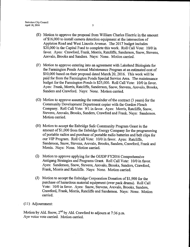- E) Motion to approve the proposal from William Charles Electric in the amount of\$ 16,000 to install camera detection equipment at the intersection of Appleton Road and West Lincoln Avenue. The 2017 budget includes \$20,000 in the Capital Fund to complete this work. Roll Call Vote: 10/0 in favor. Ayes: Crawford, Frank, Morris, Ratcliffe, Sanderson, Snow, Stevens, Arevalo, Brooks and Sanders. Nays: None. Motion carried.
- F) Motion to approve entering into an agreement with Lakeland Biologists for the Farmington Ponds Annual Maintenance Program at an estimated cost of \$10,000 based on their proposal dated March 20, 2016. This work will be paid for from the Farmington Ponds Special Service Area. The maintenance budget for the Farmington Ponds is \$25,000. Roll Call Vote: 10/0 in favor. Ayes: Frank, Morris, Ratcliffe, Sanderson, Snow, Stevens, Arevalo, Brooks, Sanders and Crawford. Nays: None. Motion carried.
- $(G)$  Motion to approve assuming the remainder of the contract  $(3 \text{ years})$  for the Community Development Department copier with the Gordon Flesch Company. Roll Call Vote: 9/1 in favor. Ayes: Morris, Ratcliffe, Snow, Stevens, Arevalo, Brooks, Sanders, Crawford and Frank. Nays: Sanderson. Motion carried.
- (H) Motion to accept the Enbridge Safe Community Program Grant in the amount of \$1,000 from the Enbridge Energy Company for the programming of portable radios and purchase of portable radio batteries and belt clips for our VIP Program. Roll Call Vote: 10/0 in favor. Ayes: Ratcliffe, Sanderson, Snow, Stevens, Arevalo, Brooks, Sanders, Crawford, Frank and Morris. Nays: None. Motion carried.
- I) Motion to approve applying for the OJJDP FY2016 Comprehensive Antigang Strategies and Programs Grant. Roll Call Vote: 10/0 in favor. Ayes: Sanderson, Snow, Stevens, Arevalo, Brooks, Sanders, Crawford, Frank, Morris and Ratcliffe. Nays: None. Motion carried.
- (J) Motion to accept the Enbridge Corporation Donation of  $$1,900$  for the purchase of hazardous material equipment( over pack drums). Roll Call Vote: 10/0 in favor. Ayes: Snow, Stevens, Arevalo, Brooks, Sanders, Crawford, Frank, Morris, Ratcliffe and Sanderson. Nays: None. Motion carried.

# 11) Adjournment:

Motion by Ald. Snow, 2nd by Ald. Crawford to adjourn at 7:36 p.m. Aye voice vote carried. Motion carried.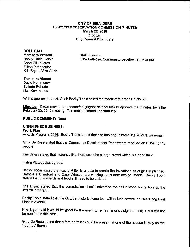# CITY OF BELVIDERE HISTORIC PRESERVATION COMMISSION MINUTES March 22, 2016 5:30 pm City Council Chambers

ROLL CALL Members Present: Staff Present: Anna Gill Pivoras Filitsa Platopoulos Kris Bryan, Vice Chair

Becky Tobin, Chair Gina DelRose, Community Development Planner

# Members Absent

David Kummerow Belinda Roberts Lisa Kummerow

With a quorum present, Chair Becky Tobin called the meeting to order at 5:35 pm.

Minutes: It was moved and seconded (Bryan/Platopoulos) to approve the minutes from the February 23, 2016 meeting. The motion carried unanimously.

# PUBLIC COMMENT: None

# UNFINISHED BUSINESS:

# Work Plan

Awards Program, 2016: Becky Tobin stated that she has begun receiving RSVP's via e-mail.

Gina DelRose stated that the Community Development Department received an RSVP for 18 people.

Kris Bryan stated that it sounds like there could be a large crowd which is a good thing.

Filitsa Platopoulos agreed.

Becky Tobin stated that Kathy Miller is unable to create the invitations as originally planned. Catherine Crawford and Cara Whetsel are working on a new design layout. Becky Tobin stated that the awards and food still need to be ordered.

Kris Bryan stated that the commission should advertise the fall historic home tour at the awards program.

Becky Tobin stated that the October historic home tour will include several houses along East Lincoln Avenue.

Kris Bryan said it would be good for the event to remain in one neighborhood; a bus will not be needed in this case.

Gina DelRose stated that a fortune teller could be present at one of the houses to play on the haunted' theme.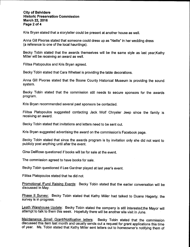# City of Belvidere Historic Preservation Commission March 22, 2016 Page 2 of 4

 $\vert$ 

Kris Bryan stated that a storyteller could be present at another house as well.

Anna Gill Pivoras stated that someone could dress up as "Nellie" in her wedding dress a reference to one of the local hauntings).

Becky Tobin stated that the awards themselves will be the same style as last year;Kathy Miller will be receiving an award as well.

Filitsa Platopoulos and Kris Bryan agreed.

Becky Tobin stated that Cara Whetsel is providing the table decorations.

Anna Gill Pivoras stated that the Boone County Historical Museum is providing the sound system.

Becky Tobin stated that the commission still needs to secure sponsors for the awards program.

Kris Bryan recommended several past sponsors be contacted.

Filitsa Platopoulos suggested contacting Jack Wolf Chrysler Jeep since the family is receiving an award.

Becky Tobin stated that invitations and letters need to be sent out.

Kris Bryan suggested advertising the award on the commission's Facebook page.

Becky Tobin stated that since the awards program is by invitation only she did not want to publicly post anything until after the event.

Gina DelRose questioned if books will be for sale at the event.

The commission agreed to have books for sale.

Becky Tobin questioned if Lee Gardner played at last year's event.

Filitsa Platopoulos stated that he did not.

Promotional / Fund Raising Events: Becky Tobin stated that the earlier conversation will be discussed in May.

Phase II Survey: Becky Tobin stated that Kathy Miller had talked to Duane Hagerty; the survey is in progress.

Leath Warehouse Update: Becky Tobin stated the company is still interested;the Mayor will attempt to talk to them this week. Hopefully there will be another site visit in June.

Maintenance Small Grant/Notification letters: Becky Tobin stated that the commission discussed this item last month and usually sends out a request for grant applications this time of year. Ms. Tobin stated that Kathy Miller sent letters out to homeowner'<sup>s</sup> notifying them of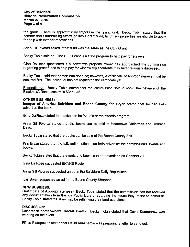# City of Belvidere Historic Preservation Commission March 22, 2016 Page 3 of 4

the grant. There is approximately \$3,500 in the grant fund. Becky Tobin stated that the commission's fundraising efforts go into a grant fund; landmark properties are eligible to apply for help with exterior renovations.

Anna Gill Pivoras asked if that fund was the same as the CLG Grant.

Becky Tobin said no. The CLG Grant is a state program to help pay for surveys.

Gina DelRose questioned if a downtown property owner has approached the commission regarding grant funds to help pay for window replacements they had previously discussed.

Becky Tobin said that person has done so; however, a certificate of appropriateness must be secured first. The individual has not requested the certificate yet.

Expenditures: Becky Tobin stated that the commission sold a book; the balance of the Blackhawk Bank account is \$3444.48.

# OTHER BUSINESS:

Images of America Belvidere and Boone County-Kris Bryan stated that he can help advertise the book.

Gina DelRose stated the books can be for sale at the awards program.

Anna Gill Pivoras stated that the books can be sold at Hometown Christmas and Heritage Days.

Becky Tobin stated that the books can be sold at the Boone County Fair.

Kris Bryan stated that the talk radio stations can help advertise the commission's events and books.

Becky Tobin stated that the events and books can be advertised on Channel 20.

Gina DelRose suggested BNNHS Radio.

Anna Gill Pivoras suggested an ad in the Belvidere Daily Republican.

Kris Bryan suggested an ad in the Boone County Shopper.

# NEW BUSINESS:

Certificate of Appropriateness- Becky Tobin stated that the commission has not received any documentation from the Ida Public Library regarding the house they intend to demolish. Becky Tobin stated that they may be rethinking their land use plans.

# DISCUSSION:

Landmark homeowners' social event-<br>Becky Tobin stated that David Kummerow was working on the event.

Filitsa Platopoulos stated that David Kummerow was preparing <sup>a</sup> letter to send out.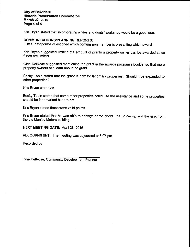# City of Belvidere Historic Preservation Commission March 22, 2016 Page 4 of 4

Kris Bryan stated that incorporating a "dos and donts" workshop would be a good idea.

# **COMMUNICATIONS/PLANNING REPORTS:**

Filitsa Platopoulos questioned which commission member is presenting which award.

Kris Bryan suggested limiting the amount of grants a property owner can be awarded since funds are limited.

Gina DelRose suggested mentioning the grant in the awards program's booklet so that more property owners can learn about the grant.

Becky Tobin stated that the grant is only for landmark properties. Should it be expanded to other properties?

Kris Bryan stated no.

Becky Tobin stated that some other properties could use the assistance and some properties should be landmarked but are not.

Kris Bryan stated those were valid points.

Kris Bryan stated that he was able to salvage some bricks, the tin ceiling and the sink from the old Manley Motors building.

NEXT MEETING DATE: April 26, 2016

ADJOURNMENT: The meeting was adjourned at 6:07 pm.

Recorded by

Gina DelRose, Community Development Planner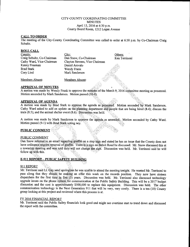# CITY-COUNTY COORDINATING COMMITTEE MINUTES April 13, 2016 at 6:30 p.m. County Board Room, 1212 Logan Avenue

# CALL TO ORDER

The meeting of the City-County Coordinating Committee was called to order at 6:30 p.m. by Co-Chairman Craig Schultz.

#### ROLL CALL

| County:                    | City:                          | Others:       |
|----------------------------|--------------------------------|---------------|
| Craig Schultz, Co-Chairman | Dan Snow, Co-Chairman          | Ken Terrinoni |
| Cathy Ward, Vice-Chairman  | Clayton Stevens, Vice Chairman |               |
| Kenny Freeman              | Daniel Arevalo                 |               |
| <b>Brad Stark</b>          | Wendy Frank                    |               |
| Cory Lind                  | Mark Sanderson                 |               |
|                            |                                |               |
| Members Absent:            | Members Absent:                |               |

#### APPROVAL OF MINUTES

A motion was made by Wendy Frank to approve the minutes of the March 9, 2016' committee meeting as presented. Motion seconded by Mark Sanderson. Motion passed ( $10-0$ ).

# **APPROVAL OF AGENDA**

A motion was made by Brad Stark to approve the agenda as presented. Motion seconded by Mark Sanderson. Cathy Ward asked to add an update on the planning department and people that are being hired (8.4); discuss the train  $(8.5)$ ; and the animal shelter event  $(8.6)$ . Discussion was held.

A motion was made by Mark Sanderson to approve the agenda as amended. Motion seconded by Cathy Ward. Motion passed (9-1) with Brad Stark voting ney.

# **PUBLIC COMMENT**

# **PUBLIC COMMENT**

Dan Snow referred to an email regarding graffiti on a stop sign and stated he has an issue that the County does not have ordinance require removal of graffiti. There is a sign on Beloit Road he discussed. Mr. Snow discussed this at a township meeting and was told they will not change the sign. Discussion was held. Mr. Terrinoni said he will follow up with this.

# **E-911 REPORT - PUBLIC SAFETY BUILDING**

# 911 REPORT

Mr. Terrinoni said Lt. Gay send apologizes he was unable to attend the meeting tonight. He wanted Mr. Terrinoni to pass along that they should be making an offer this week on the records position. They now have sixteen dispatchers for the first time in five (5) years. Discussion was held. Mr. Terrinoni also discussed technology upgrade issues on the phone system for communication at the Public Safety Building. This will be a 2017 budget discussion and the cost is approximately \$500,000 to replace this equipment. Discussion was held. The other communication technology is the Next Generation 911 that will be very, very costly. There is a ten (10) County group looking at this project and reviewed where this process is at.

#### FY 2016 FINANCIAL REPORT

Mr. Terrinoni said the Public Safety financials look good and might see overtime start to trend down and discussed the report with the committee.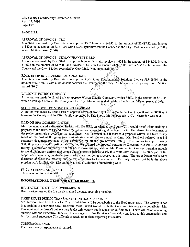City-County Coordinating Committee Minutes April 13, 2016 Page Two

# **LANDFILL**

# APPROVAL OF INVOICE: TRC

A motion was made by Brad Stark to approve TRC Invoice #184396 in the amount of \$1,487.32 and Invoice #184206 in the amount of \$3,710.00 with a 50/50 split between the County and the City. Motion seconded by Cathy Ward. Motion passed (10-0).

## APPROVAL OF INVOICE: NIJMAN FRANZETTI LLP

A motion was made by Brad Stark to approve Nijman Franzetti Invoice #14604 in the amount of \$345.00, Invoice #14678 in the amount of \$175.00 and Invoice #14679 in the amount of \$910.00 with a 50/50 split between the County and the City. Motion seconded by Cory Lind. Motion passed (10-0):

# ROCK RIVER ENVIRONMENTAL SOLUTIONS

A motion was made by Brad Stark to approve Rock River Environmental Solutions Invoice 415488994 in the amount of \$2,460.03 with a 50/50 split between the County and the City. Motion seconded by Cory Lind. Motion passed (10-0).

# WILSON ELECTRIC COMPANY

A motion was made by Brad Stark to approve Wilson Electric Company-Invoice #6603 in the amount of \$230.00 with a 50/50 split between the County and the City. Motion seconded by Mark Sanderson. Motion passed (10-0).

# SCOPE OF WORK TRC MONITORING PROGRAM

A motion was made by Brad Stark to approve scope of work by TRC in the amount of \$12,400 with a 50/50 split between the County and the City. Motion seconded by Dan Snow. Motion passed (10-0). Discussion was held.

#### ILLINOIS EPA COMMUNICATION

Mr. Terrinoni shared a discussion he had with the IEPA on whether the County/City would benefit from making a proposal to the IEPA to try and reduce the groundwater monitoring at the landfill site. He referred to a document in the packet materials provided to the committee. Mr. Terrinoni said if there is a proposal written and there is any relief on the cost of the groundwater monitoring would be an annual savings. Mr. Terrinoni referred to a bid summary document provided to the committee for all the groundwater testing. This comes to approximately \$50,000 per year for this testing. Mr. Terrinoni explained the proposal concept he discussed with the IEPA on this testing. He received support from the TEPA to make thisapplication. Mr. Terrinom felt it was encouraging enough to spend the money upfront to leverage out of pocket expenses yearly this could save money. The other part of the scope was for more groundwater wells which are not being proposed at this time. The groundwater wells were discussed at the IEPA meeting and he explained this to the committee. The only request tonight is the above scoping work for \$12,400. Discussion was held on addition of monitoring wells.

# FY 2016 FINANCIAL REPORT There was no discussion held.

# INFORMATIONAL ITEMS ANO OTHER BUSINESS

# INVITATION TO OTHER GOVERNMENTS

Brad Stark requested the fire districts attend the next upcoming meeting.

# FIXED ROUTE PUBLIC TRANSPORTATION BOONE COUNTY

Mr. Terrinoni said he believes the City of Belvidere will be contributing to the fixed route costs. The County is not in a position to contribute now. Rockford Mass Transit would like both Boone and Winnebago to contribute. Mr. Terrinoni said he doesn't believe ours is the only county not in a position to fund this. There will be an upcoming meeting with the Executive Director. It was suggested that Belvidere Township contribute to this organization and Mr. Terrinoni encourage City officials to reach out to them regarding this matter.

#### **CORRESPONDENCE**

There was no correspondence discussed.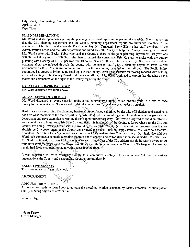City-County Coordinating Committee Minutes April 13, 2016 Page Three

#### PLANNING DEPARTMENT

Ms. Ward said she appreciates getting the planning department report in the packet of materials. She is requesting that the City planning department and the County planning department reports are submitted monthly to the committee. Ms. Ward said currently the County has Mr. Terrinom, Drew Bliss, other staff members in the Administration office and the GIS department and hired DeKalb County to help the County planning department. Ms. Ward spoke with Becky Tobin who said the County's share of the joint planning department last year was \$30,000 and this year it is \$50,000. She then discussed the consultant, Fehr Graham to assist with the county planning with <sup>a</sup> charge of\$ 1, 230 per week for <sup>10</sup> hours. She feels this will be a very costly. She then discussed her concerns about the railroad through the county with no one on staff with a planning degree to assist us and commented on this. Ms. Ward continued to discuss the upcoming meetings on the railroad. The Public Safety committee has agreed to bring the railroad topic to the County Board for discussion on moving forward with holding a special meeting of the County Board to discuss the railroad. Ms Ward continued to express her thoughts on this matter and commented on the signs in the County regarding the train:

#### GREAT LAKES BASIN RAILROAD

Ms. Ward discussed this topic above.

#### ANIMAL SERVICES BUILDING

Ms. Ward discussed an event Saturday night at the community building called "Dance your Tails off" to raise money for the new Animal Services and invited the committee to this event or to make a donation.

Brad Stark spoke regarding the planning department-report being submitted by the City of Belvidere and stated he is not sure what the point of the their report being submitted-to this committee would be as there is no longer a shared department and gave examples of why he doesn't think this is necessary. Ms. Ward disagreed as she didn't think it was a good idea to break away from the City and feels it is incumbent of the County to know what both the Ci County are doing. Wendy Frank said she would agree with Ms. Ward: Mr. Stark said he proposes then that we abolish the City government or the County government and make it one big happy family. Ms. Ward said that was ridiculous. Mr. Stark feels Ms. Ward cares more about City matters than County matters. Mr. Stark also said Ms. Ward took comments he made regarding the train out of context and editorialized it on social media. Ms. Ward and Mr. Stark continued to express their comments to each other; One of the City Alderman said he wasn't aware of the train until it hit the papers and the Mayor has attended all the same meetings as Chairman Walberg and he does not recall the Mayor ever mentioning anything regarding the train.

It was suggested to invite McHenry County to a committee meeting. Discussion was held on the various organizations the,County and surrounding Counties are involved in.

#### EXECUTIVE SESSION

There was no executive session held.

#### ADJOURNMENT

#### ADJOURN THE MEETING

A motion was made by Dan Snow to adjourn the meeting. Motion seconded by Kenny Freeman. Motion passed  $(10-0)$ . Meeting adjourned at 7:09 p.m.

Recorded by,

Julaine Drake Office Manager